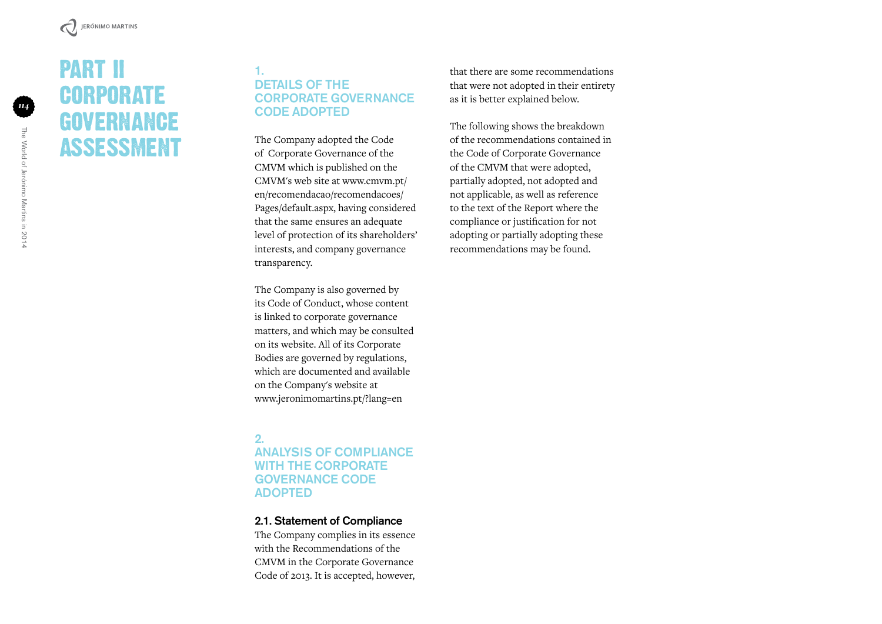# PART II **CORPORATE GOVERNANCE** ASSESSMENT

#### 1. DETAILS OF THE Corporate Governance Code Adopted

The Company adopted the Code of Corporate Governance of the CMVM which is published on the CMVM's web site at www.cmvm.pt/ en/recomendacao/recomendacoes/ Pages/default.aspx, having considered that the same ensures an adequate level of protection of its shareholders' interests, and company governance transparency.

The Company is also governed by its Code of Conduct, whose content is linked to corporate governance matters, and which may be consulted on its website. All of its Corporate Bodies are governed by regulations, which are documented and available on the Company's website at www.jeronimomartins.pt/?lang=en

### 2. Analysis of Compliance with the Corporate Governance Code **ADOPTED**

#### 2.1. Statement of Compliance

The Company complies in its essence with the Recommendations of the CMVM in the Corporate Governance Code of 2013. It is accepted, however,

that there are some recommendations that were not adopted in their entirety as it is better explained below.

The following shows the breakdown of the recommendations contained in the Code of Corporate Governance of the CMVM that were adopted, partially adopted, not adopted and not applicable, as well as reference to the text of the Report where the compliance or justification for not adopting or partially adopting these recommendations may be found.

*114*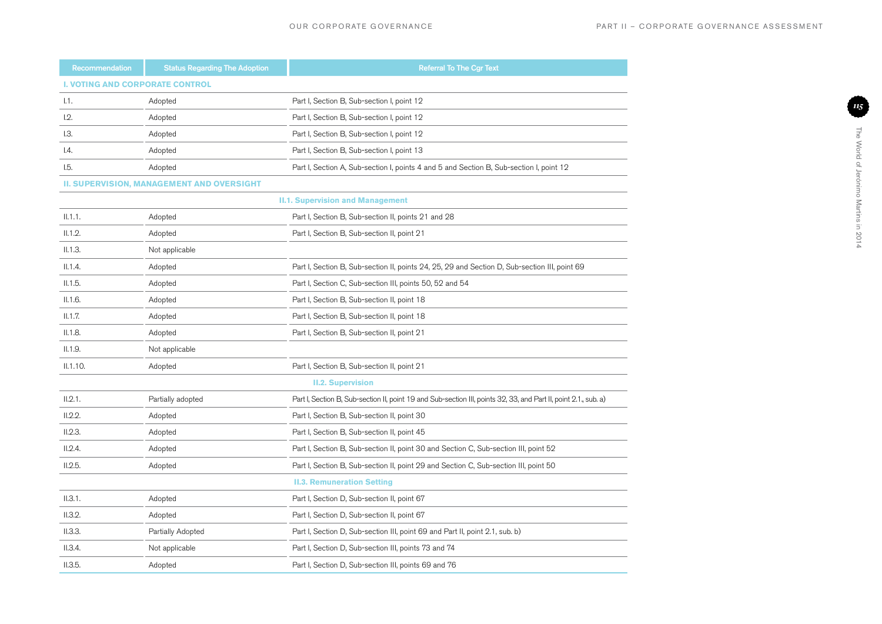*115*

The World of Jerónimo Martins in 2014

The World of Jerónimo Martins in 2014

| Recommendation                         | <b>Status Regarding The Adoption</b>             | <b>Referral To The Cgr Text</b>                                                                                  |  |
|----------------------------------------|--------------------------------------------------|------------------------------------------------------------------------------------------------------------------|--|
| <b>I. VOTING AND CORPORATE CONTROL</b> |                                                  |                                                                                                                  |  |
| 1.1.                                   | Adopted                                          | Part I, Section B, Sub-section I, point 12                                                                       |  |
| 1.2.                                   | Adopted                                          | Part I, Section B, Sub-section I, point 12                                                                       |  |
| L3.                                    | Adopted                                          | Part I, Section B, Sub-section I, point 12                                                                       |  |
| 1.4.                                   | Adopted                                          | Part I, Section B, Sub-section I, point 13                                                                       |  |
| 1.5.                                   | Adopted                                          | Part I, Section A, Sub-section I, points 4 and 5 and Section B, Sub-section I, point 12                          |  |
|                                        | <b>II. SUPERVISION, MANAGEMENT AND OVERSIGHT</b> |                                                                                                                  |  |
|                                        |                                                  | <b>II.1. Supervision and Management</b>                                                                          |  |
| II.1.1.                                | Adopted                                          | Part I, Section B, Sub-section II, points 21 and 28                                                              |  |
| II.1.2.                                | Adopted                                          | Part I, Section B, Sub-section II, point 21                                                                      |  |
| II.1.3.                                | Not applicable                                   |                                                                                                                  |  |
| II.1.4.                                | Adopted                                          | Part I, Section B, Sub-section II, points 24, 25, 29 and Section D, Sub-section III, point 69                    |  |
| II.1.5.                                | Adopted                                          | Part I, Section C, Sub-section III, points 50, 52 and 54                                                         |  |
| II.1.6.                                | Adopted                                          | Part I, Section B, Sub-section II, point 18                                                                      |  |
| II.1.7.                                | Adopted                                          | Part I, Section B, Sub-section II, point 18                                                                      |  |
| II.1.8.                                | Adopted                                          | Part I, Section B, Sub-section II, point 21                                                                      |  |
| II.1.9.                                | Not applicable                                   |                                                                                                                  |  |
| II.1.10.                               | Adopted                                          | Part I, Section B, Sub-section II, point 21                                                                      |  |
|                                        |                                                  | <b>II.2. Supervision</b>                                                                                         |  |
| II.2.1.                                | Partially adopted                                | Part I, Section B, Sub-section II, point 19 and Sub-section III, points 32, 33, and Part II, point 2.1., sub. a) |  |
| II.2.2.                                | Adopted                                          | Part I, Section B, Sub-section II, point 30                                                                      |  |
| II.2.3.                                | Adopted                                          | Part I, Section B, Sub-section II, point 45                                                                      |  |
| II.2.4.                                | Adopted                                          | Part I, Section B, Sub-section II, point 30 and Section C, Sub-section III, point 52                             |  |
| II.2.5.                                | Adopted                                          | Part I, Section B, Sub-section II, point 29 and Section C, Sub-section III, point 50                             |  |
|                                        |                                                  | <b>II.3. Remuneration Setting</b>                                                                                |  |
| II.3.1.                                | Adopted                                          | Part I, Section D, Sub-section II, point 67                                                                      |  |
| II.3.2.                                | Adopted                                          | Part I, Section D, Sub-section II, point 67                                                                      |  |
| II.3.3.                                | Partially Adopted                                | Part I, Section D, Sub-section III, point 69 and Part II, point 2.1, sub. b)                                     |  |
| II.3.4.                                | Not applicable                                   | Part I, Section D, Sub-section III, points 73 and 74                                                             |  |
| II.3.5.                                | Adopted                                          | Part I, Section D, Sub-section III, points 69 and 76                                                             |  |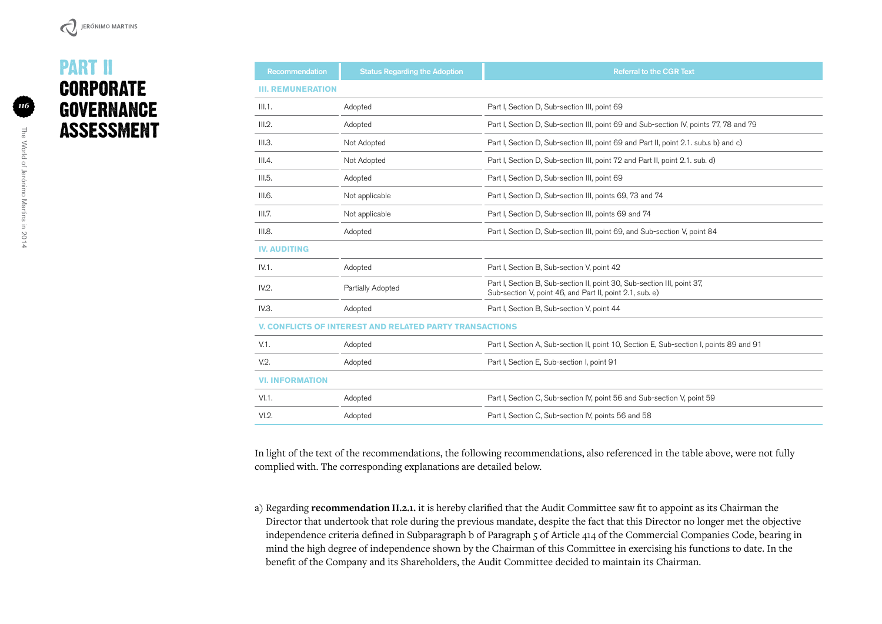# PART II **CORPORATE GOVERNANCE** ASSESSMENT

| <b>Recommendation</b>                                   | <b>Status Regarding the Adoption</b> | <b>Referral to the CGR Text</b>                                                                                                     |  |  |
|---------------------------------------------------------|--------------------------------------|-------------------------------------------------------------------------------------------------------------------------------------|--|--|
| <b>III. REMUNERATION</b>                                |                                      |                                                                                                                                     |  |  |
| III.1.                                                  | Adopted                              | Part I, Section D, Sub-section III, point 69                                                                                        |  |  |
| III.2.                                                  | Adopted                              | Part I, Section D, Sub-section III, point 69 and Sub-section IV, points 77, 78 and 79                                               |  |  |
| III.3.                                                  | Not Adopted                          | Part I, Section D, Sub-section III, point 69 and Part II, point 2.1. sub.s b) and c)                                                |  |  |
| III.4.                                                  | Not Adopted                          | Part I, Section D, Sub-section III, point 72 and Part II, point 2.1. sub. d)                                                        |  |  |
| III.5.                                                  | Adopted                              | Part I, Section D, Sub-section III, point 69                                                                                        |  |  |
| III.6.                                                  | Not applicable                       | Part I, Section D, Sub-section III, points 69, 73 and 74                                                                            |  |  |
| III.7.                                                  | Not applicable                       | Part I, Section D, Sub-section III, points 69 and 74                                                                                |  |  |
| III.8.                                                  | Adopted                              | Part I, Section D, Sub-section III, point 69, and Sub-section V, point 84                                                           |  |  |
| <b>IV. AUDITING</b>                                     |                                      |                                                                                                                                     |  |  |
| IV.1.                                                   | Adopted                              | Part I, Section B, Sub-section V, point 42                                                                                          |  |  |
| IV.2.                                                   | Partially Adopted                    | Part I, Section B, Sub-section II, point 30, Sub-section III, point 37,<br>Sub-section V, point 46, and Part II, point 2.1, sub. e) |  |  |
| IV.3.                                                   | Adopted                              | Part I, Section B, Sub-section V, point 44                                                                                          |  |  |
| V. CONFLICTS OF INTEREST AND RELATED PARTY TRANSACTIONS |                                      |                                                                                                                                     |  |  |
| $V.1$ .                                                 | Adopted                              | Part I, Section A, Sub-section II, point 10, Section E, Sub-section I, points 89 and 91                                             |  |  |
| V.2.                                                    | Adopted                              | Part I, Section E, Sub-section I, point 91                                                                                          |  |  |
| <b>VI. INFORMATION</b>                                  |                                      |                                                                                                                                     |  |  |
| VI.1.                                                   | Adopted                              | Part I, Section C, Sub-section IV, point 56 and Sub-section V, point 59                                                             |  |  |
| VI.2.                                                   | Adopted                              | Part I, Section C, Sub-section IV, points 56 and 58                                                                                 |  |  |

In light of the text of the recommendations, the following recommendations, also referenced in the table above, were not fully complied with. The corresponding explanations are detailed below.

a) Regarding **recommendation II.2.1.** it is hereby clarified that the Audit Committee saw fit to appoint as its Chairman the Director that undertook that role during the previous mandate, despite the fact that this Director no longer met the objective independence criteria defined in Subparagraph b of Paragraph 5 of Article 414 of the Commercial Companies Code, bearing in mind the high degree of independence shown by the Chairman of this Committee in exercising his functions to date. In the benefit of the Company and its Shareholders, the Audit Committee decided to maintain its Chairman.

*116*